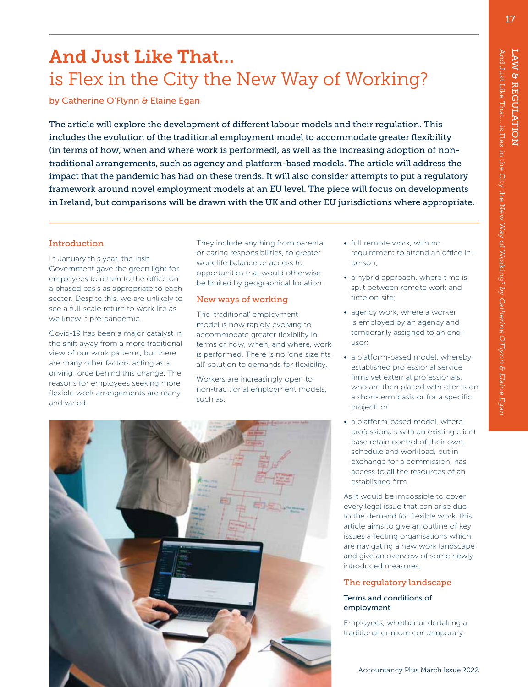17

# And Just Like That… is Flex in the City the New Way of Working?

by Catherine O'Flynn & Elaine Egan

The article will explore the development of different labour models and their regulation. This includes the evolution of the traditional employment model to accommodate greater flexibility (in terms of how, when and where work is performed), as well as the increasing adoption of nontraditional arrangements, such as agency and platform-based models. The article will address the impact that the pandemic has had on these trends. It will also consider attempts to put a regulatory framework around novel employment models at an EU level. The piece will focus on developments in Ireland, but comparisons will be drawn with the UK and other EU jurisdictions where appropriate.

# Introduction

In January this year, the Irish Government gave the green light for employees to return to the office on a phased basis as appropriate to each sector. Despite this, we are unlikely to see a full-scale return to work life as we knew it pre-pandemic.

Covid-19 has been a major catalyst in the shift away from a more traditional view of our work patterns, but there are many other factors acting as a driving force behind this change. The reasons for employees seeking more flexible work arrangements are many and varied.

They include anything from parental or caring responsibilities, to greater work-life balance or access to opportunities that would otherwise be limited by geographical location.

## New ways of working

The 'traditional' employment model is now rapidly evolving to accommodate greater flexibility in terms of how, when, and where, work is performed. There is no 'one size fits all' solution to demands for flexibility.

Workers are increasingly open to non-traditional employment models, such as:

- full remote work, with no requirement to attend an office inperson;
- a hybrid approach, where time is split between remote work and time on-site;
- agency work, where a worker is employed by an agency and temporarily assigned to an enduser;
- a platform-based model, whereby established professional service firms vet external professionals, who are then placed with clients on a short-term basis or for a specific project; or
- a platform-based model, where professionals with an existing client base retain control of their own schedule and workload, but in exchange for a commission, has access to all the resources of an established firm.

As it would be impossible to cover every legal issue that can arise due to the demand for flexible work, this article aims to give an outline of key issues affecting organisations which are navigating a new work landscape and give an overview of some newly introduced measures.

# The regulatory landscape

### Terms and conditions of employment

Employees, whether undertaking a traditional or more contemporary

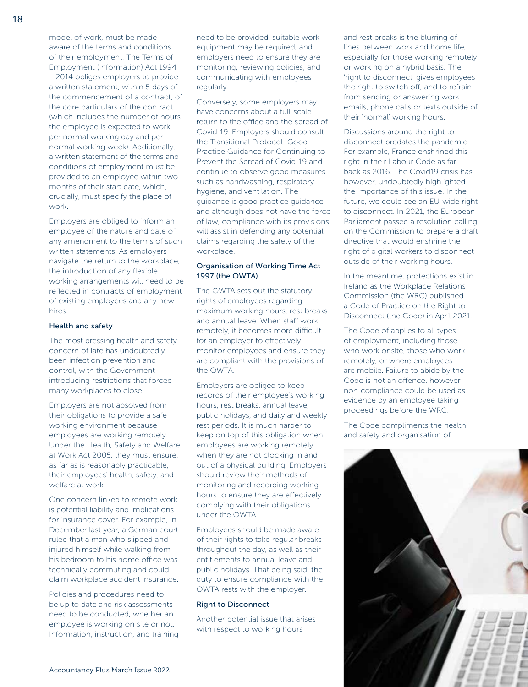model of work, must be made aware of the terms and conditions of their employment. The Terms of Employment (Information) Act 1994 – 2014 obliges employers to provide a written statement, within 5 days of the commencement of a contract, of the core particulars of the contract (which includes the number of hours the employee is expected to work per normal working day and per normal working week). Additionally, a written statement of the terms and conditions of employment must be provided to an employee within two months of their start date, which, crucially, must specify the place of work.

Employers are obliged to inform an employee of the nature and date of any amendment to the terms of such written statements. As employers navigate the return to the workplace, the introduction of any flexible working arrangements will need to be reflected in contracts of employment of existing employees and any new hires.

#### Health and safety

The most pressing health and safety concern of late has undoubtedly been infection prevention and control, with the Government introducing restrictions that forced many workplaces to close.

Employers are not absolved from their obligations to provide a safe working environment because employees are working remotely. Under the Health, Safety and Welfare at Work Act 2005, they must ensure, as far as is reasonably practicable, their employees' health, safety, and welfare at work.

One concern linked to remote work is potential liability and implications for insurance cover. For example, In December last year, a German court ruled that a man who slipped and injured himself while walking from his bedroom to his home office was technically commuting and could claim workplace accident insurance.

Policies and procedures need to be up to date and risk assessments need to be conducted, whether an employee is working on site or not. Information, instruction, and training need to be provided, suitable work equipment may be required, and employers need to ensure they are monitoring, reviewing policies, and communicating with employees regularly.

Conversely, some employers may have concerns about a full-scale return to the office and the spread of Covid-19. Employers should consult the Transitional Protocol: Good Practice Guidance for Continuing to Prevent the Spread of Covid-19 and continue to observe good measures such as handwashing, respiratory hygiene, and ventilation. The guidance is good practice guidance and although does not have the force of law, compliance with its provisions will assist in defending any potential claims regarding the safety of the workplace.

## Organisation of Working Time Act 1997 (the OWTA)

The OWTA sets out the statutory rights of employees regarding maximum working hours, rest breaks and annual leave. When staff work remotely, it becomes more difficult for an employer to effectively monitor employees and ensure they are compliant with the provisions of the OWTA.

Employers are obliged to keep records of their employee's working hours, rest breaks, annual leave, public holidays, and daily and weekly rest periods. It is much harder to keep on top of this obligation when employees are working remotely when they are not clocking in and out of a physical building. Employers should review their methods of monitoring and recording working hours to ensure they are effectively complying with their obligations under the OWTA.

Employees should be made aware of their rights to take regular breaks throughout the day, as well as their entitlements to annual leave and public holidays. That being said, the duty to ensure compliance with the OWTA rests with the employer.

#### Right to Disconnect

Another potential issue that arises with respect to working hours

and rest breaks is the blurring of lines between work and home life, especially for those working remotely or working on a hybrid basis. The 'right to disconnect' gives employees the right to switch off, and to refrain from sending or answering work emails, phone calls or texts outside of their 'normal' working hours.

Discussions around the right to disconnect predates the pandemic. For example, France enshrined this right in their Labour Code as far back as 2016. The Covid19 crisis has, however, undoubtedly highlighted the importance of this issue. In the future, we could see an EU-wide right to disconnect. In 2021, the European Parliament passed a resolution calling on the Commission to prepare a draft directive that would enshrine the right of digital workers to disconnect outside of their working hours.

In the meantime, protections exist in Ireland as the Workplace Relations Commission (the WRC) published a Code of Practice on the Right to Disconnect (the Code) in April 2021.

The Code of applies to all types of employment, including those who work onsite, those who work remotely, or where employees are mobile. Failure to abide by the Code is not an offence, however non-compliance could be used as evidence by an employee taking proceedings before the WRC.

The Code compliments the health and safety and organisation of